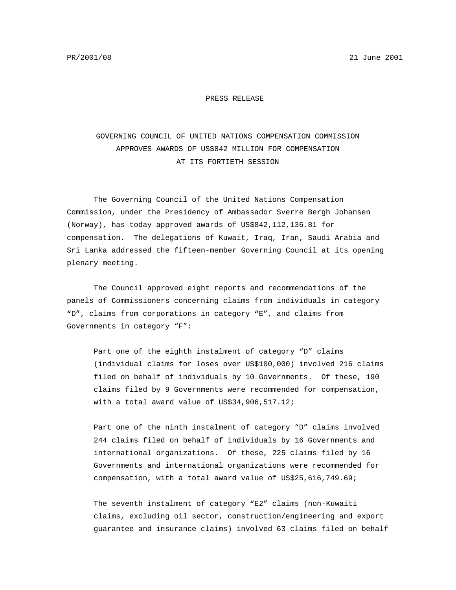PR/2001/08 21 June 2001

PRESS RELEASE

## GOVERNING COUNCIL OF UNITED NATIONS COMPENSATION COMMISSION APPROVES AWARDS OF US\$842 MILLION FOR COMPENSATION AT ITS FORTIETH SESSION

The Governing Council of the United Nations Compensation Commission, under the Presidency of Ambassador Sverre Bergh Johansen (Norway), has today approved awards of US\$842,112,136.81 for compensation. The delegations of Kuwait, Iraq, Iran, Saudi Arabia and Sri Lanka addressed the fifteen-member Governing Council at its opening plenary meeting.

The Council approved eight reports and recommendations of the panels of Commissioners concerning claims from individuals in category "D", claims from corporations in category "E", and claims from Governments in category "F":

Part one of the eighth instalment of category "D" claims (individual claims for loses over US\$100,000) involved 216 claims filed on behalf of individuals by 10 Governments. Of these, 190 claims filed by 9 Governments were recommended for compensation, with a total award value of US\$34,906,517.12;

Part one of the ninth instalment of category "D" claims involved 244 claims filed on behalf of individuals by 16 Governments and international organizations. Of these, 225 claims filed by 16 Governments and international organizations were recommended for compensation, with a total award value of US\$25,616,749.69;

The seventh instalment of category "E2" claims (non-Kuwaiti claims, excluding oil sector, construction/engineering and export guarantee and insurance claims) involved 63 claims filed on behalf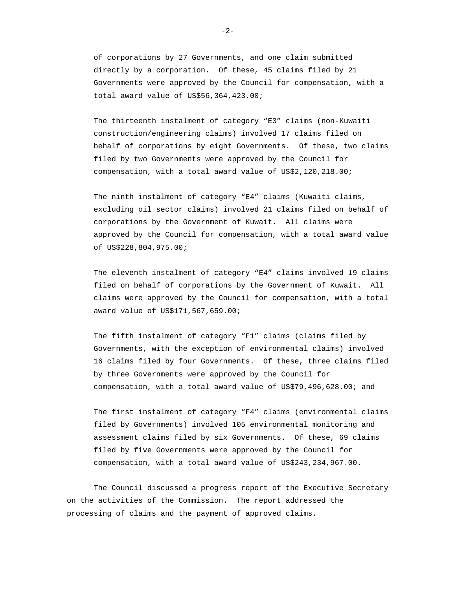of corporations by 27 Governments, and one claim submitted directly by a corporation. Of these, 45 claims filed by 21 Governments were approved by the Council for compensation, with a total award value of US\$56,364,423.00;

The thirteenth instalment of category "E3" claims (non-Kuwaiti construction/engineering claims) involved 17 claims filed on behalf of corporations by eight Governments. Of these, two claims filed by two Governments were approved by the Council for compensation, with a total award value of US\$2,120,218.00;

The ninth instalment of category "E4" claims (Kuwaiti claims, excluding oil sector claims) involved 21 claims filed on behalf of corporations by the Government of Kuwait. All claims were approved by the Council for compensation, with a total award value of US\$228,804,975.00;

The eleventh instalment of category "E4" claims involved 19 claims filed on behalf of corporations by the Government of Kuwait. All claims were approved by the Council for compensation, with a total award value of US\$171,567,659.00;

The fifth instalment of category "F1" claims (claims filed by Governments, with the exception of environmental claims) involved 16 claims filed by four Governments. Of these, three claims filed by three Governments were approved by the Council for compensation, with a total award value of US\$79,496,628.00; and

The first instalment of category "F4" claims (environmental claims filed by Governments) involved 105 environmental monitoring and assessment claims filed by six Governments. Of these, 69 claims filed by five Governments were approved by the Council for compensation, with a total award value of US\$243,234,967.00.

The Council discussed a progress report of the Executive Secretary on the activities of the Commission. The report addressed the processing of claims and the payment of approved claims.

 $-2-$